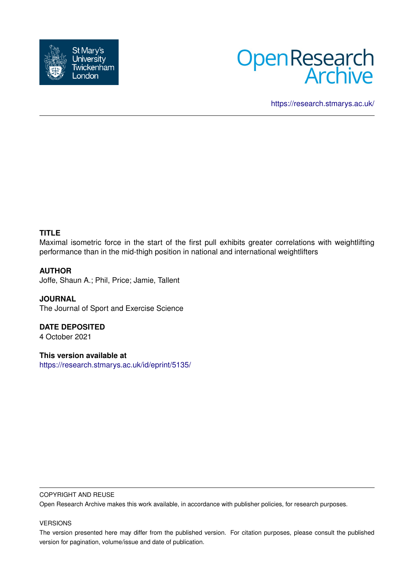



<https://research.stmarys.ac.uk/>

# **TITLE**

Maximal isometric force in the start of the first pull exhibits greater correlations with weightlifting performance than in the mid-thigh position in national and international weightlifters

# **AUTHOR**

Joffe, Shaun A.; Phil, Price; Jamie, Tallent

**JOURNAL** The Journal of Sport and Exercise Science

**DATE DEPOSITED** 4 October 2021

**This version available at** <https://research.stmarys.ac.uk/id/eprint/5135/>

# COPYRIGHT AND REUSE

Open Research Archive makes this work available, in accordance with publisher policies, for research purposes.

# VERSIONS

The version presented here may differ from the published version. For citation purposes, please consult the published version for pagination, volume/issue and date of publication.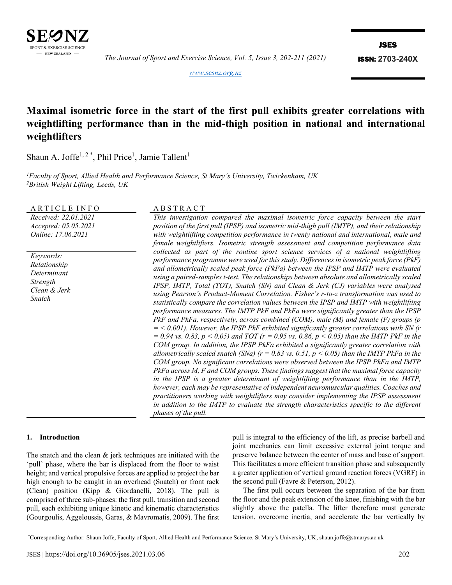

*The Journal of Sport and Exercise Science, Vol. 5, Issue 3, 202-211 (2021)*

JSES

ISSN: **2703-240X**

*[www.sesnz.org.nz](http://www.sesnz.org.nz/)*

# **Maximal isometric force in the start of the first pull exhibits greater correlations with weightlifting performance than in the mid-thigh position in national and international weightlifters**

Shaun A. Joffe<sup>1, 2\*</sup>, Phil Price<sup>1</sup>, Jamie Tallent<sup>1</sup>

*<sup>1</sup>Faculty of Sport, Allied Health and Performance Science, St Mary's University, Twickenham, UK <sup>2</sup>British Weight Lifting, Leeds, UK* 

A R T I C L E I N F O A B S T R A C T

*Received: 22.01.2021 Accepted: 05.05.2021 Online: 17.06.2021*

*Keywords: Relationship Determinant Strength Clean & Jerk Snatch*

*This investigation compared the maximal isometric force capacity between the start position of the first pull (IPSP) and isometric mid-thigh pull (IMTP), and their relationship with weightlifting competition performance in twenty national and international, male and female weightlifters. Isometric strength assessment and competition performance data collected as part of the routine sport science services of a national weightlifting performance programme were used for this study. Differences in isometric peak force (PkF) and allometrically scaled peak force (PkFa) between the IPSP and IMTP were evaluated using a paired-samples t-test. The relationships between absolute and allometrically scaled IPSP, IMTP, Total (TOT), Snatch (SN) and Clean & Jerk (CJ) variables were analysed using Pearson's Product-Moment Correlation. Fisher's r-to-z transformation was used to statistically compare the correlation values between the IPSP and IMTP with weightlifting performance measures. The IMTP PkF and PkFa were significantly greater than the IPSP PkF and PkFa, respectively, across combined (COM), male (M) and female (F) groups (p = < 0.001). However, the IPSP PkF exhibited significantly greater correlations with SN (r*   $= 0.94$  *vs.* 0.83,  $p < 0.05$ ) and TOT ( $r = 0.95$  *vs.* 0.86,  $p < 0.05$ ) than the IMTP PkF in the *COM group. In addition, the IPSP PkFa exhibited a significantly greater correlation with allometrically scaled snatch (SNa) (r = 0.83 vs. 0.51, p < 0.05) than the IMTP PkFa in the COM group. No significant correlations were observed between the IPSP PkFa and IMTP PkFa across M, F and COM groups. These findings suggest that the maximal force capacity in the IPSP is a greater determinant of weightlifting performance than in the IMTP, however, each may be representative of independent neuromuscular qualities. Coaches and practitioners working with weightlifters may consider implementing the IPSP assessment in addition to the IMTP to evaluate the strength characteristics specific to the different phases of the pull.*

#### **1. Introduction**

The snatch and the clean & jerk techniques are initiated with the 'pull' phase, where the bar is displaced from the floor to waist height; and vertical propulsive forces are applied to project the bar high enough to be caught in an overhead (Snatch) or front rack (Clean) position (Kipp & Giordanelli, 2018). The pull is comprised of three sub-phases: the first pull, transition and second pull, each exhibiting unique kinetic and kinematic characteristics (Gourgoulis, Aggeloussis, Garas, & Mavromatis, 2009). The first pull is integral to the efficiency of the lift, as precise barbell and joint mechanics can limit excessive external joint torque and preserve balance between the center of mass and base of support. This facilitates a more efficient transition phase and subsequently a greater application of vertical ground reaction forces (VGRF) in the second pull (Favre & Peterson, 2012).

The first pull occurs between the separation of the bar from the floor and the peak extension of the knee, finishing with the bar slightly above the patella. The lifter therefore must generate tension, overcome inertia, and accelerate the bar vertically by

<sup>\*</sup>Corresponding Author: Shaun Joffe, Faculty of Sport, Allied Health and Performance Science. St Mary's University, UK, shaun.joffe@stmarys.ac.uk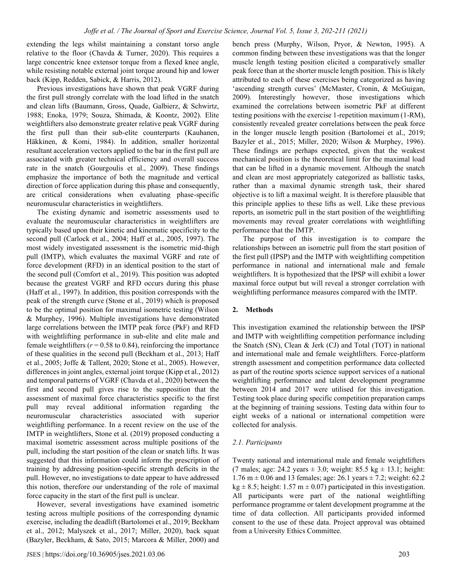extending the legs whilst maintaining a constant torso angle relative to the floor (Chavda & Turner, 2020). This requires a large concentric knee extensor torque from a flexed knee angle, while resisting notable external joint torque around hip and lower back (Kipp, Redden, Sabick, & Harris, 2012).

Previous investigations have shown that peak VGRF during the first pull strongly correlate with the load lifted in the snatch and clean lifts (Baumann, Gross, Quade, Galbierz, & Schwirtz, 1988; Enoka, 1979; Souza, Shimada, & Koontz, 2002). Elite weightlifters also demonstrate greater relative peak VGRF during the first pull than their sub-elite counterparts (Kauhanen, Häkkinen, & Komi, 1984). In addition, smaller horizontal resultant acceleration vectors applied to the bar in the first pull are associated with greater technical efficiency and overall success rate in the snatch (Gourgoulis et al., 2009). These findings emphasize the importance of both the magnitude and vertical direction of force application during this phase and consequently, are critical considerations when evaluating phase-specific neuromuscular characteristics in weightlifters.

The existing dynamic and isometric assessments used to evaluate the neuromuscular characteristics in weightlifters are typically based upon their kinetic and kinematic specificity to the second pull (Carlock et al., 2004; Haff et al., 2005, 1997). The most widely investigated assessment is the isometric mid-thigh pull (IMTP), which evaluates the maximal VGRF and rate of force development (RFD) in an identical position to the start of the second pull (Comfort et al., 2019). This position was adopted because the greatest VGRF and RFD occurs during this phase (Haff et al., 1997). In addition, this position corresponds with the peak of the strength curve (Stone et al., 2019) which is proposed to be the optimal position for maximal isometric testing (Wilson & Murphey, 1996). Multiple investigations have demonstrated large correlations between the IMTP peak force (PkF) and RFD with weightlifting performance in sub-elite and elite male and female weightlifters  $(r = 0.58 \text{ to } 0.84)$ , reinforcing the importance of these qualities in the second pull (Beckham et al., 2013; Haff et al., 2005; Joffe & Tallent, 2020; Stone et al., 2005). However, differences in joint angles, external joint torque (Kipp et al., 2012) and temporal patterns of VGRF (Chavda et al., 2020) between the first and second pull gives rise to the supposition that the assessment of maximal force characteristics specific to the first pull may reveal additional information regarding the neuromuscular characteristics associated with superior weightlifting performance. In a recent review on the use of the IMTP in weightlifters, Stone et al. (2019) proposed conducting a maximal isometric assessment across multiple positions of the pull, including the start position of the clean or snatch lifts. It was suggested that this information could inform the prescription of training by addressing position-specific strength deficits in the pull. However, no investigations to date appear to have addressed this notion, therefore our understanding of the role of maximal force capacity in the start of the first pull is unclear.

However, several investigations have examined isometric testing across multiple positions of the corresponding dynamic exercise, including the deadlift (Bartolomei et al., 2019; Beckham et al., 2012; Malyszek et al., 2017; Miller, 2020), back squat (Bazyler, Beckham, & Sato, 2015; Marcora & Miller, 2000) and bench press (Murphy, Wilson, Pryor, & Newton, 1995). A common finding between these investigations was that the longer muscle length testing position elicited a comparatively smaller peak force than at the shorter muscle length position. This is likely attributed to each of these exercises being categorized as having 'ascending strength curves' (McMaster, Cronin, & McGuigan, 2009). Interestingly however, those investigations which examined the correlations between isometric PkF at different testing positions with the exercise 1-repetition maximum (1-RM), consistently revealed greater correlations between the peak force in the longer muscle length position (Bartolomei et al., 2019; Bazyler et al., 2015; Miller, 2020; Wilson & Murphey, 1996). These findings are perhaps expected, given that the weakest mechanical position is the theoretical limit for the maximal load that can be lifted in a dynamic movement. Although the snatch and clean are most appropriately categorized as ballistic tasks, rather than a maximal dynamic strength task, their shared objective is to lift a maximal weight. It is therefore plausible that this principle applies to these lifts as well. Like these previous reports, an isometric pull in the start position of the weightlifting movements may reveal greater correlations with weightlifting performance that the IMTP.

The purpose of this investigation is to compare the relationships between an isometric pull from the start position of the first pull (IPSP) and the IMTP with weightlifting competition performance in national and international male and female weightlifters. It is hypothesized that the IPSP will exhibit a lower maximal force output but will reveal a stronger correlation with weightlifting performance measures compared with the IMTP.

#### **2. Methods**

This investigation examined the relationship between the IPSP and IMTP with weightlifting competition performance including the Snatch (SN), Clean & Jerk (CJ) and Total (TOT) in national and international male and female weightlifters. Force-platform strength assessment and competition performance data collected as part of the routine sports science support services of a national weightlifting performance and talent development programme between 2014 and 2017 were utilised for this investigation. Testing took place during specific competition preparation camps at the beginning of training sessions. Testing data within four to eight weeks of a national or international competition were collected for analysis.

#### *2.1. Participants*

Twenty national and international male and female weightlifters (7 males; age: 24.2 years  $\pm$  3.0; weight: 85.5 kg  $\pm$  13.1; height: 1.76 m  $\pm$  0.06 and 13 females; age: 26.1 years  $\pm$  7.2; weight: 62.2 kg  $\pm$  8.5; height: 1.57 m  $\pm$  0.07) participated in this investigation. All participants were part of the national weightlifting performance programme or talent development programme at the time of data collection. All participants provided informed consent to the use of these data. Project approval was obtained from a University Ethics Committee.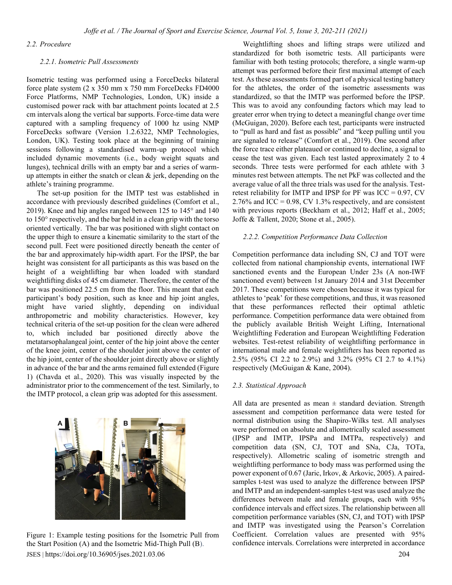#### *2.2. Procedure*

#### *2.2.1. Isometric Pull Assessments*

Isometric testing was performed using a ForceDecks bilateral force plate system (2 x 350 mm x 750 mm ForceDecks FD4000 Force Platforms, NMP Technologies, London, UK) inside a customised power rack with bar attachment points located at 2.5 cm intervals along the vertical bar supports. Force-time data were captured with a sampling frequency of 1000 hz using NMP ForceDecks software (Version 1.2.6322, NMP Technologies, London, UK). Testing took place at the beginning of training sessions following a standardised warm-up protocol which included dynamic movements (i.e., body weight squats and lunges), technical drills with an empty bar and a series of warmup attempts in either the snatch or clean  $\&$  jerk, depending on the athlete's training programme.

The set-up position for the IMTP test was established in accordance with previously described guidelines (Comfort et al., 2019). Knee and hip angles ranged between 125 to 145° and 140 to 150° respectively, and the bar held in a clean grip with the torso oriented vertically. The bar was positioned with slight contact on the upper thigh to ensure a kinematic similarity to the start of the second pull. Feet were positioned directly beneath the center of the bar and approximately hip-width apart. For the IPSP, the bar height was consistent for all participants as this was based on the height of a weightlifting bar when loaded with standard weightlifting disks of 45 cm diameter. Therefore, the center of the bar was positioned 22.5 cm from the floor. This meant that each participant's body position, such as knee and hip joint angles, might have varied slightly, depending on individual anthropometric and mobility characteristics. However, key technical criteria of the set-up position for the clean were adhered to, which included bar positioned directly above the metatarsophalangeal joint, center of the hip joint above the center of the knee joint, center of the shoulder joint above the center of the hip joint, center of the shoulder joint directly above or slightly in advance of the bar and the arms remained full extended (Figure 1) (Chavda et al., 2020). This was visually inspected by the administrator prior to the commencement of the test. Similarly, to the IMTP protocol, a clean grip was adopted for this assessment.



JSES | https://doi.org/10.36905/jses.2021.03.06 204 Figure 1: Example testing positions for the Isometric Pull from the Start Position (A) and the Isometric Mid-Thigh Pull (B).

Weightlifting shoes and lifting straps were utilized and standardized for both isometric tests. All participants were familiar with both testing protocols; therefore, a single warm-up attempt was performed before their first maximal attempt of each test. As these assessments formed part of a physical testing battery for the athletes, the order of the isometric assessments was standardized, so that the IMTP was performed before the IPSP. This was to avoid any confounding factors which may lead to greater error when trying to detect a meaningful change over time (McGuigan, 2020). Before each test, participants were instructed to "pull as hard and fast as possible" and "keep pulling until you are signaled to release" (Comfort et al., 2019). One second after the force trace either plateaued or continued to decline, a signal to cease the test was given. Each test lasted approximately 2 to 4 seconds. Three tests were performed for each athlete with 3 minutes rest between attempts. The net PkF was collected and the average value of all the three trials was used for the analysis. Testretest reliability for IMTP and IPSP for PF was  $ICC = 0.97, CV$ 2.76% and ICC =  $0.98$ , CV 1.3% respectively, and are consistent with previous reports (Beckham et al., 2012; Haff et al., 2005; Joffe & Tallent, 2020; Stone et al., 2005).

#### *2.2.2. Competition Performance Data Collection*

Competition performance data including SN, CJ and TOT were collected from national championship events, international IWF sanctioned events and the European Under 23s (A non-IWF sanctioned event) between 1st January 2014 and 31st December 2017. These competitions were chosen because it was typical for athletes to 'peak' for these competitions, and thus, it was reasoned that these performances reflected their optimal athletic performance. Competition performance data were obtained from the publicly available British Weight Lifting, International Weightlifting Federation and European Weightlifting Federation websites. Test-retest reliability of weightlifting performance in international male and female weightlifters has been reported as 2.5% (95% CI 2.2 to 2.9%) and 3.2% (95% CI 2.7 to 4.1%) respectively (McGuigan & Kane, 2004).

#### *2.3. Statistical Approach*

All data are presented as mean  $\pm$  standard deviation. Strength assessment and competition performance data were tested for normal distribution using the Shapiro-Wilks test. All analyses were performed on absolute and allometrically scaled assessment (IPSP and IMTP, IPSPa and IMTPa, respectively) and competition data (SN, CJ, TOT and SNa, CJa, TOTa, respectively). Allometric scaling of isometric strength and weightlifting performance to body mass was performed using the power exponent of 0.67 (Jaric, Irkov, & Arkovic, 2005). A pairedsamples t-test was used to analyze the difference between IPSP and IMTP and an independent-samples t-test was used analyze the differences between male and female groups, each with 95% confidence intervals and effect sizes. The relationship between all competition performance variables (SN, CJ, and TOT) with IPSP and IMTP was investigated using the Pearson's Correlation Coefficient. Correlation values are presented with 95% confidence intervals. Correlations were interpreted in accordance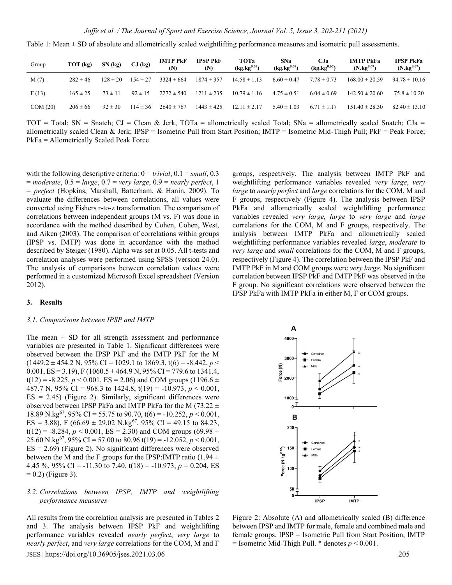| Group   | $TOT$ (kg)   | SN(kg)       | $CJ$ (kg)    | <b>IMTP PKF</b><br>(N) | <b>IPSP PKF</b><br>(N) | <b>TOTa</b><br>$(kg.kg^{0.67})$ | SNa<br>$(kg.kg^{0.67})$ | CJa<br>$(kg.kg^{0.67})$ | <b>IMTP PkFa</b><br>$(N.kg^{0.67})$ | <b>IPSP PkFa</b><br>$(N \cdot kg^{0.67})$ |
|---------|--------------|--------------|--------------|------------------------|------------------------|---------------------------------|-------------------------|-------------------------|-------------------------------------|-------------------------------------------|
| M(7)    | $282 \pm 46$ | $128 \pm 20$ | $154 \pm 27$ | $3324 \pm 664$         | $1874 \pm 357$         | $14.58 \pm 1.13$                | $6.60 \pm 0.47$         | $7.78 \pm 0.73$         | $168.00 \pm 20.59$                  | $94.78 \pm 10.16$                         |
| F(13)   | $165 \pm 25$ | $73 \pm 11$  | $92 \pm 15$  | $2272 \pm 540$         | $1211 \pm 235$         | $10.79 \pm 1.16$                | $4.75 \pm 0.51$         | $6.04 \pm 0.69$         | $142.50 \pm 20.60$                  | $75.8 \pm 10.20$                          |
| COM(20) | $206 \pm 66$ | $92 \pm 30$  | $114 \pm 36$ | $2640 \pm 767$         | $1443 \pm 425$         | $12.11 \pm 2.17$                | $5.40 \pm 1.03$         | $6.71 \pm 1.17$         | $151.40 \pm 28.30$                  | $82.40 \pm 13.10$                         |

Table 1: Mean  $\pm$  SD of absolute and allometrically scaled weightlifting performance measures and isometric pull assessments.

TOT = Total; SN = Snatch; CJ = Clean & Jerk, TOTa = allometrically scaled Total; SNa = allometrically scaled Snatch; CJa = allometrically scaled Clean & Jerk; IPSP = Isometric Pull from Start Position; IMTP = Isometric Mid-Thigh Pull; PkF = Peak Force; PkFa = Allometrically Scaled Peak Force

with the following descriptive criteria: 0 = *trivial*, 0.1 = *small*, 0.3 = *moderate*, 0.5 = *large*, 0.7 = *very large*, 0.9 = *nearly perfect*, 1 = *perfect* (Hopkins, Marshall, Batterham, & Hanin, 2009). To evaluate the differences between correlations, all values were converted using Fishers r-to-z transformation. The comparison of correlations between independent groups (M vs. F) was done in accordance with the method described by Cohen, Cohen, West, and Aiken (2003). The comparison of correlations within groups (IPSP vs. IMTP) was done in accordance with the method described by Steiger (1980). Alpha was set at 0.05. All t-tests and correlation analyses were performed using SPSS (version 24.0). The analysis of comparisons between correlation values were performed in a customized Microsoft Excel spreadsheet (Version 2012).

#### **3. Results**

#### *3.1. Comparisons between IPSP and IMTP*

The mean  $\pm$  SD for all strength assessment and performance variables are presented in Table 1. Significant differences were observed between the IPSP PkF and the IMTP PkF for the M  $(1449.2 \pm 454.2 \text{ N}, 95\% \text{ CI} = 1029.1 \text{ to } 1869.3, t(6) = -8.442, p <$ 0.001, ES = 3.19), F (1060.5  $\pm$  464.9 N, 95% CI = 779.6 to 1341.4,  $t(12) = -8.225$ ,  $p < 0.001$ ,  $ES = 2.06$ ) and COM groups (1196.6  $\pm$ 487.7 N, 95% CI = 968.3 to 1424.8, t(19) = -10.973, *p* < 0.001,  $ES = 2.45$ ) (Figure 2). Similarly, significant differences were observed between IPSP PkFa and IMTP PkFa for the M (73.22  $\pm$ 18.89 N.kg<sup>67</sup>, 95% CI = 55.75 to 90.70, t(6) = -10.252,  $p < 0.001$ , ES = 3.88), F (66.69  $\pm$  29.02 N.kg<sup>67</sup>, 95% CI = 49.15 to 84.23,  $t(12) = -8.284$ ,  $p < 0.001$ ,  $ES = 2.30$ ) and COM groups (69.98  $\pm$ 25.60 N.kg<sup>67</sup>, 95% CI = 57.00 to 80.96 t(19) = -12.052,  $p < 0.001$ ,  $ES = 2.69$ ) (Figure 2). No significant differences were observed between the M and the F groups for the IPSP: IMTP ratio (1.94  $\pm$ 4.45 %, 95% CI = -11.30 to 7.40,  $t(18) = -10.973$ ,  $p = 0.204$ , ES  $= 0.2$ ) (Figure 3).

#### *3.2. Correlations between IPSP, IMTP and weightlifting performance measures*

JSES | https://doi.org/10.36905/jses.2021.03.06 205 All results from the correlation analysis are presented in Tables 2 and 3. The analysis between IPSP PkF and weightlifting performance variables revealed *nearly perfect*, *very large* to *nearly perfect*, and *very large* correlations for the COM, M and F

groups, respectively. The analysis between IMTP PkF and weightlifting performance variables revealed *very large*, *very large* to *nearly perfect* and *large* correlations for the COM, M and F groups, respectively (Figure 4). The analysis between IPSP PkFa and allometrically scaled weightlifting performance variables revealed *very large, large* to *very large* and *large* correlations for the COM, M and F groups, respectively. The analysis between IMTP PkFa and allometrically scaled weightlifting performance variables revealed *large*, *moderate* to *very large* and *small* correlations for the COM, M and F groups, respectively (Figure 4). The correlation between the IPSP PkF and IMTP PkF in M and COM groups were *very large*. No significant correlation between IPSP PkF and IMTP PkF was observed in the F group. No significant correlations were observed between the IPSP PkFa with IMTP PkFa in either M, F or COM groups.



Figure 2: Absolute (A) and allometrically scaled (B) difference between IPSP and IMTP for male, female and combined male and female groups. IPSP = Isometric Pull from Start Position, IMTP = Isometric Mid-Thigh Pull. \* denotes *p* < 0.001.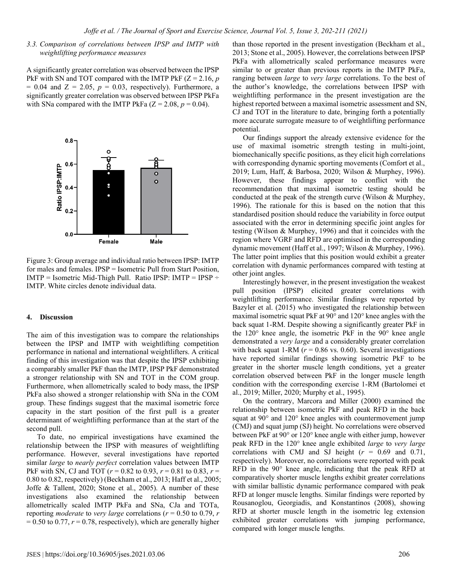### *3.3. Comparison of correlations between IPSP and IMTP with weightlifting performance measures*

A significantly greater correlation was observed between the IPSP PkF with SN and TOT compared with the IMTP PkF (Z = 2.16, *p*  $= 0.04$  and  $Z = 2.05$ ,  $p = 0.03$ , respectively). Furthermore, a significantly greater correlation was observed between IPSP PkFa with SNa compared with the IMTP PkFa  $(Z = 2.08, p = 0.04)$ .



Figure 3: Group average and individual ratio between IPSP: IMTP for males and females. IPSP = Isometric Pull from Start Position, IMTP = Isometric Mid-Thigh Pull. Ratio IPSP: IMTP = IPSP  $\div$ IMTP. White circles denote individual data.

#### **4. Discussion**

The aim of this investigation was to compare the relationships between the IPSP and IMTP with weightlifting competition performance in national and international weightlifters. A critical finding of this investigation was that despite the IPSP exhibiting a comparably smaller PkF than the IMTP, IPSP PkF demonstrated a stronger relationship with SN and TOT in the COM group. Furthermore, when allometrically scaled to body mass, the IPSP PkFa also showed a stronger relationship with SNa in the COM group. These findings suggest that the maximal isometric force capacity in the start position of the first pull is a greater determinant of weightlifting performance than at the start of the second pull.

To date, no empirical investigations have examined the relationship between the IPSP with measures of weightlifting performance. However, several investigations have reported similar *large* to *nearly perfect* correlation values between IMTP PkF with SN, CJ and TOT (*r* = 0.82 to 0.93, *r* = 0.81 to 0.83, *r* = 0.80 to 0.82, respectively) (Beckham et al., 2013; Haff et al., 2005; Joffe & Tallent, 2020; Stone et al., 2005). A number of these investigations also examined the relationship between allometrically scaled IMTP PkFa and SNa, CJa and TOTa, reporting *moderate* to *very large* correlations (*r* = 0.50 to 0.79, *r*  $= 0.50$  to 0.77,  $r = 0.78$ , respectively), which are generally higher

than those reported in the present investigation (Beckham et al., 2013; Stone et al., 2005). However, the correlations between IPSP PkFa with allometrically scaled performance measures were similar to or greater than previous reports in the IMTP PkFa, ranging between *large* to *very large* correlations. To the best of the author's knowledge, the correlations between IPSP with weightlifting performance in the present investigation are the highest reported between a maximal isometric assessment and SN, CJ and TOT in the literature to date, bringing forth a potentially more accurate surrogate measure to of weightlifting performance potential.

Our findings support the already extensive evidence for the use of maximal isometric strength testing in multi-joint, biomechanically specific positions, as they elicit high correlations with corresponding dynamic sporting movements (Comfort et al., 2019; Lum, Haff, & Barbosa, 2020; Wilson & Murphey, 1996). However, these findings appear to conflict with the recommendation that maximal isometric testing should be conducted at the peak of the strength curve (Wilson & Murphey, 1996). The rationale for this is based on the notion that this standardised position should reduce the variability in force output associated with the error in determining specific joint angles for testing (Wilson & Murphey, 1996) and that it coincides with the region where VGRF and RFD are optimised in the corresponding dynamic movement (Haff et al., 1997; Wilson & Murphey, 1996). The latter point implies that this position would exhibit a greater correlation with dynamic performances compared with testing at other joint angles.

Interestingly however, in the present investigation the weakest pull position (IPSP) elicited greater correlations with weightlifting performance. Similar findings were reported by Bazyler et al. (2015) who investigated the relationship between maximal isometric squat PkF at 90° and 120° knee angles with the back squat 1-RM. Despite showing a significantly greater PkF in the 120° knee angle, the isometric PkF in the 90° knee angle demonstrated a *very large* and a considerably greater correlation with back squat 1-RM ( $r = 0.86$  vs. 0.60). Several investigations have reported similar findings showing isometric PkF to be greater in the shorter muscle length conditions, yet a greater correlation observed between PkF in the longer muscle length condition with the corresponding exercise 1-RM (Bartolomei et al., 2019; Miller, 2020; Murphy et al., 1995).

On the contrary, Marcora and Miller (2000) examined the relationship between isometric PkF and peak RFD in the back squat at 90° and 120° knee angles with countermovement jump (CMJ) and squat jump (SJ) height. No correlations were observed between PkF at 90° or 120° knee angle with either jump, however peak RFD in the 120° knee angle exhibited *large* to *very large* correlations with CMJ and SJ height  $(r = 0.69$  and 0.71, respectively). Moreover, no correlations were reported with peak RFD in the 90° knee angle, indicating that the peak RFD at comparatively shorter muscle lengths exhibit greater correlations with similar ballistic dynamic performance compared with peak RFD at longer muscle lengths. Similar findings were reported by Rousanoglou, Georgiadis, and Konstantinos (2008), showing RFD at shorter muscle length in the isometric leg extension exhibited greater correlations with jumping performance, compared with longer muscle lengths.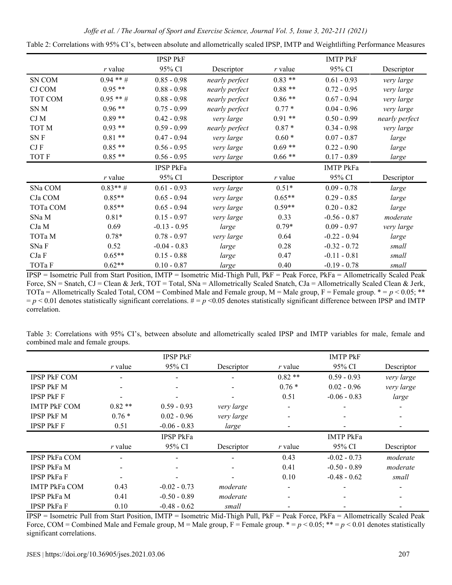| Joffe et al. / The Journal of Sport and Exercise Science, Journal Vol. 5, Issue 3, 202-211 (2021) |  |  |
|---------------------------------------------------------------------------------------------------|--|--|
|                                                                                                   |  |  |
|                                                                                                   |  |  |
|                                                                                                   |  |  |

|                 |            | <b>IPSP PkF</b>  |                |           | <b>IMTP PKF</b>  |                |
|-----------------|------------|------------------|----------------|-----------|------------------|----------------|
|                 | $r$ value  | 95% CI           | Descriptor     | r value   | 95% CI           | Descriptor     |
| SN COM          | $0.94$ **# | $0.85 - 0.98$    | nearly perfect | $0.83**$  | $0.61 - 0.93$    | very large     |
| <b>CJ COM</b>   | $0.95**$   | $0.88 - 0.98$    | nearly perfect | $0.88**$  | $0.72 - 0.95$    | very large     |
| TOT COM         | $0.95$ **# | $0.88 - 0.98$    | nearly perfect | $0.86**$  | $0.67 - 0.94$    | very large     |
| SN <sub>M</sub> | $0.96**$   | $0.75 - 0.99$    | nearly perfect | $0.77*$   | $0.04 - 0.96$    | very large     |
| CJ M            | $0.89**$   | $0.42 - 0.98$    | very large     | $0.91**$  | $0.50 - 0.99$    | nearly perfect |
| TOT M           | $0.93**$   | $0.59 - 0.99$    | nearly perfect | $0.87 *$  | $0.34 - 0.98$    | very large     |
| SN F            | $0.81**$   | $0.47 - 0.94$    | very large     | $0.60*$   | $0.07 - 0.87$    | large          |
| CJF             | $0.85**$   | $0.56 - 0.95$    | very large     | $0.69**$  | $0.22 - 0.90$    | large          |
| <b>TOT F</b>    | $0.85**$   | $0.56 - 0.95$    | very large     | $0.66**$  | $0.17 - 0.89$    | large          |
|                 |            | <b>IPSP PkFa</b> |                |           | <b>IMTP PkFa</b> |                |
|                 | $r$ value  | 95% CI           | Descriptor     | $r$ value | 95% CI           | Descriptor     |
| SNa COM         | $0.83**$ # | $0.61 - 0.93$    | very large     | $0.51*$   | $0.09 - 0.78$    | large          |
| CJa COM         | $0.85**$   | $0.65 - 0.94$    | very large     | $0.65**$  | $0.29 - 0.85$    | large          |
| TOTa COM        | $0.85**$   | $0.65 - 0.94$    | very large     | $0.59**$  | $0.20 - 0.82$    | large          |
| SNa M           | $0.81*$    | $0.15 - 0.97$    | very large     | 0.33      | $-0.56 - 0.87$   | moderate       |
| CJa M           | 0.69       | $-0.13 - 0.95$   | large          | $0.79*$   | $0.09 - 0.97$    | very large     |
| ТОТа М          | $0.78*$    | $0.78 - 0.97$    | very large     | 0.64      | $-0.22 - 0.94$   | large          |
| SNaF            | 0.52       | $-0.04 - 0.83$   | large          | 0.28      | $-0.32 - 0.72$   | small          |
| CJa F           | $0.65**$   | $0.15 - 0.88$    | large          | 0.47      | $-0.11 - 0.81$   | small          |
| ТОТа Ғ          | $0.62**$   | $0.10 - 0.87$    | large          | 0.40      | $-0.19 - 0.78$   | small          |

Table 2: Correlations with 95% CI's, between absolute and allometrically scaled IPSP, IMTP and Weightlifting Performance Measures

IPSP = Isometric Pull from Start Position, IMTP = Isometric Mid-Thigh Pull, PkF = Peak Force, PkFa = Allometrically Scaled Peak Force, SN = Snatch, CJ = Clean & Jerk, TOT = Total, SNa = Allometrically Scaled Snatch, CJa = Allometrically Scaled Clean & Jerk, TOTa = Allometrically Scaled Total, COM = Combined Male and Female group,  $M =$  Male group,  $F =$  Female group.  $* = p < 0.05;$  \*\*  $p \leq 0.01$  denotes statistically significant correlations.  $\# = p \leq 0.05$  denotes statistically significant difference between IPSP and IMTP correlation.

Table 3: Correlations with 95% CI's, between absolute and allometrically scaled IPSP and IMTP variables for male, female and combined male and female groups.

|                      |           | <b>IPSP PkF</b>  |            |                          | <b>IMTP PkF</b>  |                          |
|----------------------|-----------|------------------|------------|--------------------------|------------------|--------------------------|
|                      | $r$ value | 95% CI           | Descriptor | $r$ value                | 95% CI           | Descriptor               |
| <b>IPSP PKF COM</b>  |           |                  |            | $0.82**$                 | $0.59 - 0.93$    | very large               |
| <b>IPSP PKF M</b>    |           |                  |            | $0.76*$                  | $0.02 - 0.96$    | very large               |
| <b>IPSP PKF F</b>    |           |                  |            | 0.51                     | $-0.06 - 0.83$   | large                    |
| <b>IMTP PKF COM</b>  | $0.82**$  | $0.59 - 0.93$    | very large | $\overline{\phantom{0}}$ |                  | $\overline{\phantom{0}}$ |
| <b>IPSP PKF M</b>    | $0.76*$   | $0.02 - 0.96$    | very large | $\overline{\phantom{a}}$ |                  |                          |
| <b>IPSP PKF F</b>    | 0.51      | $-0.06 - 0.83$   | large      |                          |                  |                          |
|                      |           |                  |            |                          |                  |                          |
|                      |           | <b>IPSP PkFa</b> |            |                          | <b>IMTP PkFa</b> |                          |
|                      | $r$ value | 95% CI           | Descriptor | $r$ value                | 95% CI           | Descriptor               |
| <b>IPSP PkFa COM</b> |           |                  |            | 0.43                     | $-0.02 - 0.73$   | moderate                 |
| <b>IPSP PkFa M</b>   |           |                  |            | 0.41                     | $-0.50 - 0.89$   | moderate                 |
| <b>IPSP PkFa F</b>   |           |                  |            | 0.10                     | $-0.48 - 0.62$   | small                    |
| <b>IMTP PkFa COM</b> | 0.43      | $-0.02 - 0.73$   | moderate   |                          |                  |                          |
| <b>IPSP PkFa M</b>   | 0.41      | $-0.50 - 0.89$   | moderate   | ٠                        |                  |                          |

 $\overline{IPSP}$  = Isometric Pull from Start Position, IMTP = Isometric Mid-Thigh Pull, PkF = Peak Force, PkFa = Allometrically Scaled Peak Force, COM = Combined Male and Female group,  $M =$  Male group,  $F =$  Female group.  $* = p < 0.05$ ;  $* = p < 0.01$  denotes statistically significant correlations.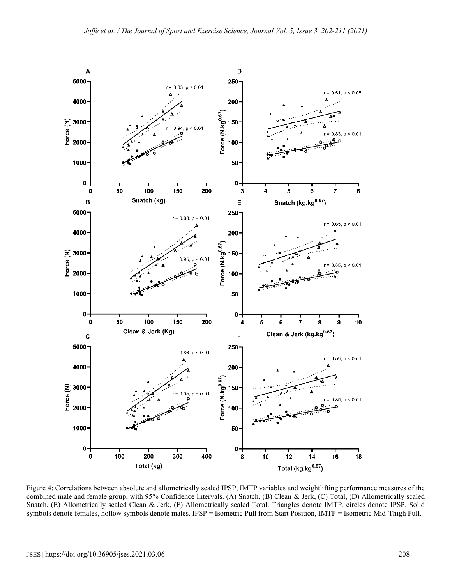

Figure 4: Correlations between absolute and allometrically scaled IPSP, IMTP variables and weightlifting performance measures of the combined male and female group, with 95% Confidence Intervals. (A) Snatch, (B) Clean & Jerk, (C) Total, (D) Allometrically scaled Snatch, (E) Allometrically scaled Clean & Jerk, (F) Allometrically scaled Total. Triangles denote IMTP, circles denote IPSP. Solid symbols denote females, hollow symbols denote males. IPSP = Isometric Pull from Start Position, IMTP = Isometric Mid-Thigh Pull.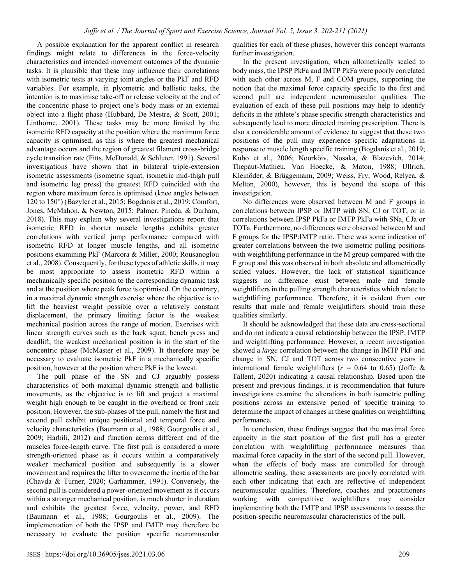A possible explanation for the apparent conflict in research findings might relate to differences in the force-velocity characteristics and intended movement outcomes of the dynamic tasks. It is plausible that these may influence their correlations with isometric tests at varying joint angles or the PkF and RFD variables. For example, in plyometric and ballistic tasks, the intention is to maximise take-off or release velocity at the end of the concentric phase to project one's body mass or an external object into a flight phase (Hubbard, De Mestre, & Scott, 2001; Linthorne, 2001). These tasks may be more limited by the isometric RFD capacity at the position where the maximum force capacity is optimised, as this is where the greatest mechanical advantage occurs and the region of greatest filament cross-bridge cycle transition rate (Fitts, McDonald, & Schluter, 1991). Several investigations have shown that in bilateral triple-extension isometric assessments (isometric squat, isometric mid-thigh pull and isometric leg press) the greatest RFD coincided with the region where maximum force is optimised (knee angles between 120 to 150°) (Bazyler et al., 2015; Bogdanis et al., 2019; Comfort, Jones, McMahon, & Newton, 2015; Palmer, Pineda, & Durham, 2018). This may explain why several investigations report that isometric RFD in shorter muscle lengths exhibits greater correlations with vertical jump performance compared with isometric RFD at longer muscle lengths, and all isometric positions examining PkF (Marcora & Miller, 2000; Rousanoglou et al., 2008). Consequently, for these types of athletic skills, it may be most appropriate to assess isometric RFD within a mechanically specific position to the corresponding dynamic task and at the position where peak force is optimised. On the contrary, in a maximal dynamic strength exercise where the objective is to lift the heaviest weight possible over a relatively constant displacement, the primary limiting factor is the weakest mechanical position across the range of motion. Exercises with linear strength curves such as the back squat, bench press and deadlift, the weakest mechanical position is in the start of the concentric phase (McMaster et al., 2009). It therefore may be necessary to evaluate isometric PkF in a mechanically specific position, however at the position where PkF is the lowest.

The pull phase of the SN and CJ arguably possess characteristics of both maximal dynamic strength and ballistic movements, as the objective is to lift and project a maximal weight high enough to be caught in the overhead or front rack position. However, the sub-phases of the pull, namely the first and second pull exhibit unique positional and temporal force and velocity characteristics (Baumann et al., 1988; Gourgoulis et al., 2009; Harbili, 2012) and function across different end of the muscles force-length curve. The first pull is considered a more strength-oriented phase as it occurs within a comparatively weaker mechanical position and subsequently is a slower movement and requires the lifter to overcome the inertia of the bar (Chavda & Turner, 2020; Garhammer, 1991). Conversely, the second pull is considered a power-oriented movement as it occurs within a stronger mechanical position, is much shorter in duration and exhibits the greatest force, velocity, power, and RFD (Baumann et al., 1988; Gourgoulis et al., 2009). The implementation of both the IPSP and IMTP may therefore be necessary to evaluate the position specific neuromuscular qualities for each of these phases, however this concept warrants further investigation.

In the present investigation, when allometrically scaled to body mass, the IPSP PkFa and IMTP PkFa were poorly correlated with each other across M, F and COM groups, supporting the notion that the maximal force capacity specific to the first and second pull are independent neuromuscular qualities. The evaluation of each of these pull positions may help to identify deficits in the athlete's phase specific strength characteristics and subsequently lead to more directed training prescription. There is also a considerable amount of evidence to suggest that these two positions of the pull may experience specific adaptations in response to muscle length specific training (Bogdanis et al., 2019; Kubo et al., 2006; Noorkõiv, Nosaka, & Blazevich, 2014; Thepaut-Mathieu, Van Hoecke, & Maton, 1988; Ullrich, Kleinöder, & Brüggemann, 2009; Weiss, Fry, Wood, Relyea, & Melton, 2000), however, this is beyond the scope of this investigation.

No differences were observed between M and F groups in correlations between IPSP or IMTP with SN, CJ or TOT, or in correlations between IPSP PkFa or IMTP PkFa with SNa, CJa or TOTa. Furthermore, no differences were observed between M and F groups for the IPSP:IMTP ratio. There was some indication of greater correlations between the two isometric pulling positions with weightlifting performance in the M group compared with the F group and this was observed in both absolute and allometrically scaled values. However, the lack of statistical significance suggests no difference exist between male and female weightlifters in the pulling strength characteristics which relate to weightlifting performance. Therefore, it is evident from our results that male and female weightlifters should train these qualities similarly.

It should be acknowledged that these data are cross-sectional and do not indicate a causal relationship between the IPSP, IMTP and weightlifting performance. However, a recent investigation showed a *large* correlation between the change in IMTP PkF and change in SN, CJ and TOT across two consecutive years in international female weightlifters ( $r = 0.64$  to 0.65) (Joffe & Tallent, 2020) indicating a causal relationship. Based upon the present and previous findings, it is recommendation that future investigations examine the alterations in both isometric pulling positions across an extensive period of specific training to determine the impact of changes in these qualities on weightlifting performance.

In conclusion, these findings suggest that the maximal force capacity in the start position of the first pull has a greater correlation with weightlifting performance measures than maximal force capacity in the start of the second pull. However, when the effects of body mass are controlled for through allometric scaling, these assessments are poorly correlated with each other indicating that each are reflective of independent neuromuscular qualities. Therefore, coaches and practitioners working with competitive weightlifters may consider implementing both the IMTP and IPSP assessments to assess the position-specific neuromuscular characteristics of the pull.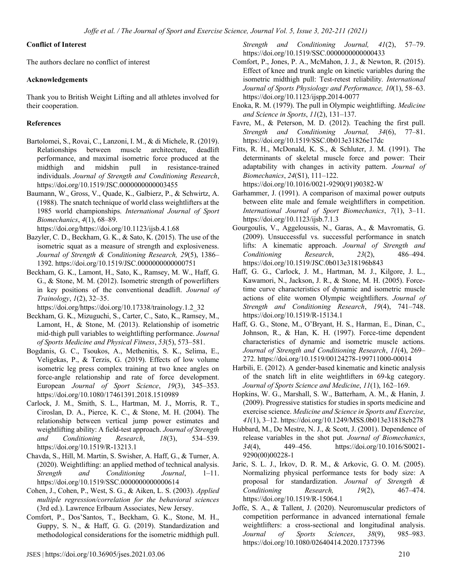# **Conflict of Interest**

The authors declare no conflict of interest

# **Acknowledgements**

Thank you to British Weight Lifting and all athletes involved for their cooperation.

# **References**

- Bartolomei, S., Rovai, C., Lanzoni, I. M., & di Michele, R. (2019). Relationships between muscle architecture, deadlift performance, and maximal isometric force produced at the midthigh and midshin pull in resistance-trained individuals. *Journal of Strength and Conditioning Research*, https://doi.org/10.1519/JSC.0000000000003455
- Baumann, W., Gross, V., Quade, K., Galbierz, P., & Schwirtz, A. (1988). The snatch technique of world class weightlifters at the 1985 world championships. *International Journal of Sport Biomechanics*, *4*(1), 68–89.

https://doi.org/https://doi.org/10.1123/ijsb.4.1.68

- Bazyler, C. D., Beckham, G. K., & Sato, K. (2015). The use of the isometric squat as a measure of strength and explosiveness. *Journal of Strength & Conditioning Research, 29*(5), 1386– 1392. https://doi.org/10.1519/JSC.0000000000000751
- Beckham, G. K., Lamont, H., Sato, K., Ramsey, M. W., Haff, G. G., & Stone, M. M. (2012). Isometric strength of powerlifters in key positions of the conventional deadlift. *Journal of Trainology*, *1*(2), 32–35.

https://doi.org/https://doi.org/10.17338/trainology.1.2\_32

- Beckham, G. K., Mizuguchi, S., Carter, C., Sato, K., Ramsey, M., Lamont, H., & Stone, M. (2013). Relationship of isometric mid-thigh pull variables to weightlifting performance. *Journal of Sports Medicine and Physical Fitness*, *53*(5), 573–581.
- Bogdanis, G. C., Tsoukos, A., Methenitis, S. K., Selima, E., Veligekas, P., & Terzis, G. (2019). Effects of low volume isometric leg press complex training at two knee angles on force-angle relationship and rate of force development. European *Journal of Sport Science*, *19*(3), 345–353. https://doi.org/10.1080/17461391.2018.1510989
- Carlock, J. M., Smith, S. L., Hartman, M. J., Morris, R. T., Ciroslan, D. A., Pierce, K. C., & Stone, M. H. (2004). The relationship between vertical jump power estimates and weightlifting ability: A field-test approach. *Journal of Strength and Conditioning Research*, *18*(3), 534–539. https://doi.org/10.1519/R-13213.1
- Chavda, S., Hill, M. Martin, S. Swisher, A. Haff, G., & Turner, A. (2020). Weightlifting: an applied method of technical analysis. *Strength and Conditioning Journal*, 1–11. https://doi.org/10.1519/SSC.0000000000000614
- Cohen, J., Cohen, P., West, S. G., & Aiken, L. S. (2003). *Applied multiple regression/correlation for the behavioral sciences* (3rd ed.). Lawrence Erlbaum Associates, New Jersey.
- Comfort, P., Dos'Santos, T., Beckham, G. K., Stone, M. H., Guppy, S. N., & Haff, G. G. (2019). Standardization and methodological considerations for the isometric midthigh pull.

*Strength and Conditioning Journal, 41*(2), 57–79. https://doi.org/10.1519/SSC.0000000000000433

- Comfort, P., Jones, P. A., McMahon, J. J., & Newton, R. (2015). Effect of knee and trunk angle on kinetic variables during the isometric midthigh pull: Test-retest reliability*. International Journal of Sports Physiology and Performance, 10*(1), 58–63. https://doi.org/10.1123/ijspp.2014-0077
- Enoka, R. M. (1979). The pull in Olympic weightlifting. *Medicine and Science in Sports*, *11*(2), 131–137.
- Favre, M., & Peterson, M. D. (2012). Teaching the first pull. *Strength and Conditioning Journal, 34*(6), 77–81. https://doi.org/10.1519/SSC.0b013e31826e17dc
- Fitts, R. H., McDonald, K. S., & Schluter, J. M. (1991). The determinants of skeletal muscle force and power: Their adaptability with changes in activity pattern. *Journal of Biomechanics*, *24*(S1), 111–122.

https://doi.org/10.1016/0021-9290(91)90382-W

- Garhammer, J. (1991). A comparison of maximal power outputs between elite male and female weightlifters in competition. *International Journal of Sport Biomechanics*, *7*(1), 3–11. https://doi.org/10.1123/ijsb.7.1.3
- Gourgoulis, V., Aggeloussis, N., Garas, A., & Mavromatis, G. (2009). Unsuccessful vs. successful performance in snatch lifts: A kinematic approach. *Journal of Strength and Conditioning Research*, *23*(2), 486–494. https://doi.org/10.1519/JSC.0b013e318196b843
- Haff, G. G., Carlock, J. M., Hartman, M. J., Kilgore, J. L., Kawamori, N., Jackson, J. R., & Stone, M. H. (2005). Forcetime curve characteristics of dynamic and isometric muscle actions of elite women Olympic weightlifters. *Journal of Strength and Conditioning Research*, *19*(4), 741–748. https://doi.org/10.1519/R-15134.1
- Haff, G. G., Stone, M., O'Bryant, H. S., Harman, E., Dinan, C., Johnson, R., & Han, K. H. (1997). Force-time dependent characteristics of dynamic and isometric muscle actions. *Journal of Strength and Conditioning Research*, *11*(4), 269– 272. https://doi.org/10.1519/00124278-199711000-00014
- Harbili, E. (2012). A gender-based kinematic and kinetic analysis of the snatch lift in elite weightlifters in 69-kg category. *Journal of Sports Science and Medicine*, *11*(1), 162–169.
- Hopkins, W. G., Marshall, S. W., Batterham, A. M., & Hanin, J. (2009). Progressive statistics for studies in sports medicine and exercise science. *Medicine and Science in Sports and Exercise*, *41*(1), 3–12. https://doi.org/10.1249/MSS.0b013e31818cb278
- Hubbard, M., De Mestre, N. J., & Scott, J. (2001). Dependence of release variables in the shot put*. Journal of Biomechanics*, *34*(4), 449–456. https://doi.org/10.1016/S0021- 9290(00)00228-1
- Jaric, S. L. J., Irkov, D. R. M., & Arkovic, G. O. M. (2005). Normalizing physical performance tests for body size: A proposal for standardization. *Journal of Strength & Conditioning Research, 19*(2), 467–474. https://doi.org/10.1519/R-15064.1
- Joffe, S. A., & Tallent, J. (2020). Neuromuscular predictors of competition performance in advanced international female weightlifters: a cross-sectional and longitudinal analysis. *Journal of Sports Sciences*, *38*(9), 985–983. https://doi.org/10.1080/02640414.2020.1737396